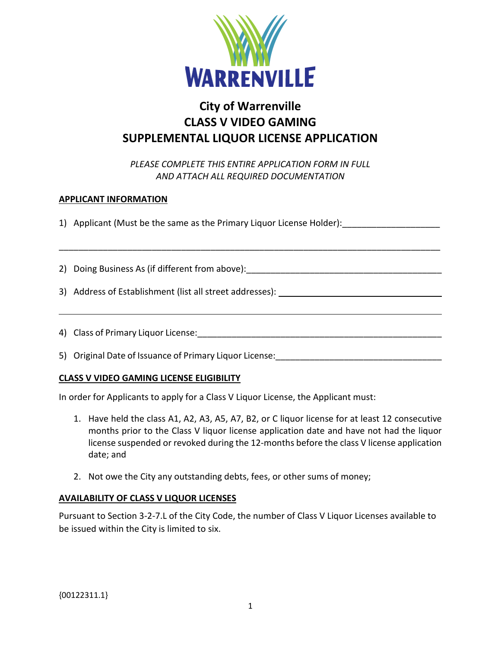

# **City of Warrenville CLASS V VIDEO GAMING SUPPLEMENTAL LIQUOR LICENSE APPLICATION**

*PLEASE COMPLETE THIS ENTIRE APPLICATION FORM IN FULL AND ATTACH ALL REQUIRED DOCUMENTATION*

\_\_\_\_\_\_\_\_\_\_\_\_\_\_\_\_\_\_\_\_\_\_\_\_\_\_\_\_\_\_\_\_\_\_\_\_\_\_\_\_\_\_\_\_\_\_\_\_\_\_\_\_\_\_\_\_\_\_\_\_\_\_\_\_\_\_\_\_\_\_\_\_\_\_\_\_\_\_

### **APPLICANT INFORMATION**

1) Applicant (Must be the same as the Primary Liquor License Holder): \_\_\_\_\_\_\_\_\_\_\_

2) Doing Business As (if different from above): \_\_\_\_\_\_\_\_\_\_\_\_\_\_\_\_\_\_\_\_\_\_\_\_\_\_\_\_\_\_\_\_\_

3) Address of Establishment (list all street addresses):

4) Class of Primary Liquor License:

5) Original Date of Issuance of Primary Liquor License:

#### **CLASS V VIDEO GAMING LICENSE ELIGIBILITY**

In order for Applicants to apply for a Class V Liquor License, the Applicant must:

- 1. Have held the class A1, A2, A3, A5, A7, B2, or C liquor license for at least 12 consecutive months prior to the Class V liquor license application date and have not had the liquor license suspended or revoked during the 12-months before the class V license application date; and
- 2. Not owe the City any outstanding debts, fees, or other sums of money;

#### **AVAILABILITY OF CLASS V LIQUOR LICENSES**

Pursuant to Section 3-2-7.L of the City Code, the number of Class V Liquor Licenses available to be issued within the City is limited to six.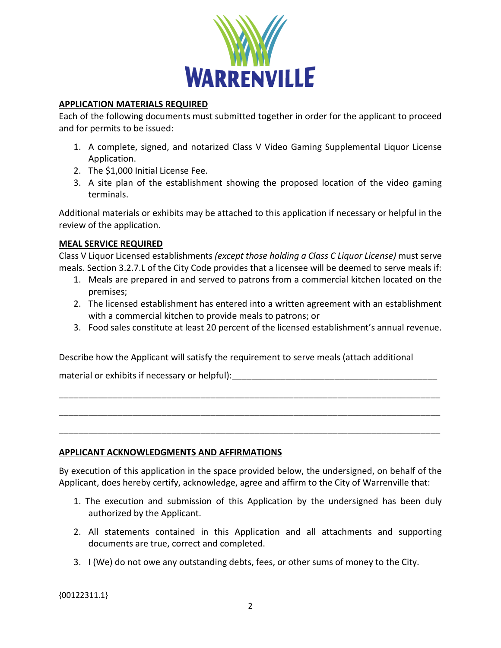

#### **APPLICATION MATERIALS REQUIRED**

Each of the following documents must submitted together in order for the applicant to proceed and for permits to be issued:

- 1. A complete, signed, and notarized Class V Video Gaming Supplemental Liquor License Application.
- 2. The \$1,000 Initial License Fee.
- 3. A site plan of the establishment showing the proposed location of the video gaming terminals.

Additional materials or exhibits may be attached to this application if necessary or helpful in the review of the application.

## **MEAL SERVICE REQUIRED**

Class V Liquor Licensed establishments *(except those holding a Class C Liquor License)* must serve meals. Section 3.2.7.L of the City Code provides that a licensee will be deemed to serve meals if:

- 1. Meals are prepared in and served to patrons from a commercial kitchen located on the premises;
- 2. The licensed establishment has entered into a written agreement with an establishment with a commercial kitchen to provide meals to patrons; or
- 3. Food sales constitute at least 20 percent of the licensed establishment's annual revenue.

Describe how the Applicant will satisfy the requirement to serve meals (attach additional

material or exhibits if necessary or helpful):

## **APPLICANT ACKNOWLEDGMENTS AND AFFIRMATIONS**

By execution of this application in the space provided below, the undersigned, on behalf of the Applicant, does hereby certify, acknowledge, agree and affirm to the City of Warrenville that:

\_\_\_\_\_\_\_\_\_\_\_\_\_\_\_\_\_\_\_\_\_\_\_\_\_\_\_\_\_\_\_\_\_\_\_\_\_\_\_\_\_\_\_\_\_\_\_\_\_\_\_\_\_\_\_\_\_\_\_\_\_\_\_\_\_\_\_\_\_\_\_\_\_\_\_\_\_\_

\_\_\_\_\_\_\_\_\_\_\_\_\_\_\_\_\_\_\_\_\_\_\_\_\_\_\_\_\_\_\_\_\_\_\_\_\_\_\_\_\_\_\_\_\_\_\_\_\_\_\_\_\_\_\_\_\_\_\_\_\_\_\_\_\_\_\_\_\_\_\_\_\_\_\_\_\_\_

\_\_\_\_\_\_\_\_\_\_\_\_\_\_\_\_\_\_\_\_\_\_\_\_\_\_\_\_\_\_\_\_\_\_\_\_\_\_\_\_\_\_\_\_\_\_\_\_\_\_\_\_\_\_\_\_\_\_\_\_\_\_\_\_\_\_\_\_\_\_\_\_\_\_\_\_\_\_

- 1. The execution and submission of this Application by the undersigned has been duly authorized by the Applicant.
- 2. All statements contained in this Application and all attachments and supporting documents are true, correct and completed.
- 3. I (We) do not owe any outstanding debts, fees, or other sums of money to the City.

{00122311.1}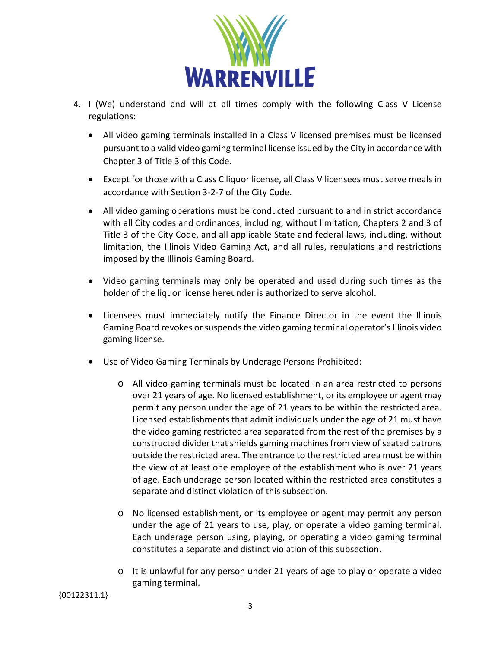

- 4. I (We) understand and will at all times comply with the following Class V License regulations:
	- All video gaming terminals installed in a Class V licensed premises must be licensed pursuant to a valid video gaming terminal license issued by the City in accordance with Chapter 3 of Title 3 of this Code.
	- Except for those with a Class C liquor license, all Class V licensees must serve meals in accordance with Section 3-2-7 of the City Code.
	- All video gaming operations must be conducted pursuant to and in strict accordance with all City codes and ordinances, including, without limitation, Chapters 2 and 3 of Title 3 of the City Code, and all applicable State and federal laws, including, without limitation, the Illinois Video Gaming Act, and all rules, regulations and restrictions imposed by the Illinois Gaming Board.
	- Video gaming terminals may only be operated and used during such times as the holder of the liquor license hereunder is authorized to serve alcohol.
	- Licensees must immediately notify the Finance Director in the event the Illinois Gaming Board revokes or suspends the video gaming terminal operator's Illinois video gaming license.
	- Use of Video Gaming Terminals by Underage Persons Prohibited:
		- o All video gaming terminals must be located in an area restricted to persons over 21 years of age. No licensed establishment, or its employee or agent may permit any person under the age of 21 years to be within the restricted area. Licensed establishments that admit individuals under the age of 21 must have the video gaming restricted area separated from the rest of the premises by a constructed divider that shields gaming machines from view of seated patrons outside the restricted area. The entrance to the restricted area must be within the view of at least one employee of the establishment who is over 21 years of age. Each underage person located within the restricted area constitutes a separate and distinct violation of this subsection.
		- o No licensed establishment, or its employee or agent may permit any person under the age of 21 years to use, play, or operate a video gaming terminal. Each underage person using, playing, or operating a video gaming terminal constitutes a separate and distinct violation of this subsection.
		- o It is unlawful for any person under 21 years of age to play or operate a video gaming terminal.

{00122311.1}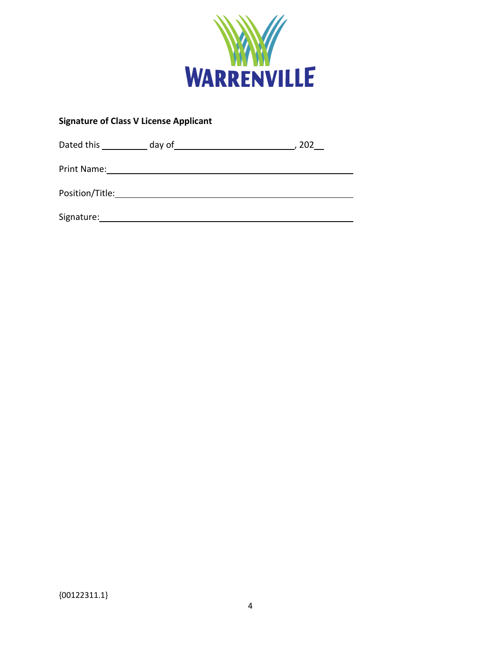

# **Signature of Class V License Applicant**

| Dated this      | day of | 202 |
|-----------------|--------|-----|
| Print Name:     |        |     |
| Position/Title: |        |     |
| Signature:      |        |     |

 ${00122311.1}$